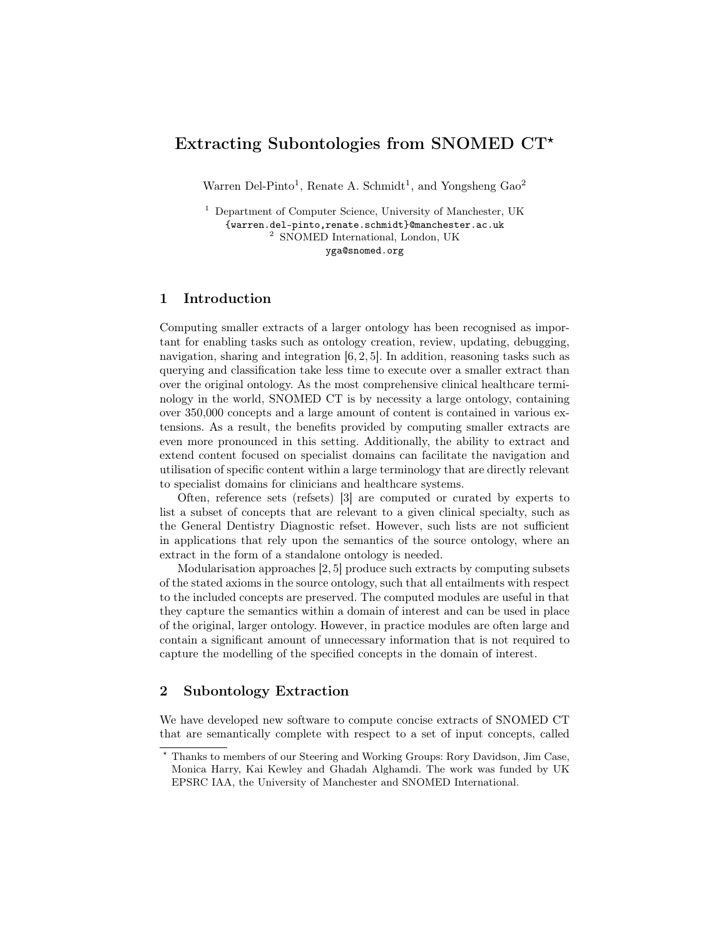# Extracting Subontologies from SNOMED  $CT^*$

Warren Del-Pinto<sup>1</sup>, Renate A. Schmidt<sup>1</sup>, and Yongsheng  $Gao<sup>2</sup>$ 

<sup>1</sup> Department of Computer Science, University of Manchester, UK {warren.del-pinto,renate.schmidt}@manchester.ac.uk <sup>2</sup> SNOMED International, London, UK yga@snomed.org

#### 1 Introduction

Computing smaller extracts of a larger ontology has been recognised as important for enabling tasks such as ontology creation, review, updating, debugging, navigation, sharing and integration [6, 2, 5]. In addition, reasoning tasks such as querying and classification take less time to execute over a smaller extract than over the original ontology. As the most comprehensive clinical healthcare terminology in the world, SNOMED CT is by necessity a large ontology, containing over 350,000 concepts and a large amount of content is contained in various extensions. As a result, the benefits provided by computing smaller extracts are even more pronounced in this setting. Additionally, the ability to extract and extend content focused on specialist domains can facilitate the navigation and utilisation of specific content within a large terminology that are directly relevant to specialist domains for clinicians and healthcare systems.

Often, reference sets (refsets) [3] are computed or curated by experts to list a subset of concepts that are relevant to a given clinical specialty, such as the General Dentistry Diagnostic refset. However, such lists are not sufficient in applications that rely upon the semantics of the source ontology, where an extract in the form of a standalone ontology is needed.

Modularisation approaches [2, 5] produce such extracts by computing subsets of the stated axioms in the source ontology, such that all entailments with respect to the included concepts are preserved. The computed modules are useful in that they capture the semantics within a domain of interest and can be used in place of the original, larger ontology. However, in practice modules are often large and contain a significant amount of unnecessary information that is not required to capture the modelling of the specified concepts in the domain of interest.

## 2 Subontology Extraction

We have developed new software to compute concise extracts of SNOMED CT that are semantically complete with respect to a set of input concepts, called

<sup>⋆</sup> Thanks to members of our Steering and Working Groups: Rory Davidson, Jim Case, Monica Harry, Kai Kewley and Ghadah Alghamdi. The work was funded by UK EPSRC IAA, the University of Manchester and SNOMED International.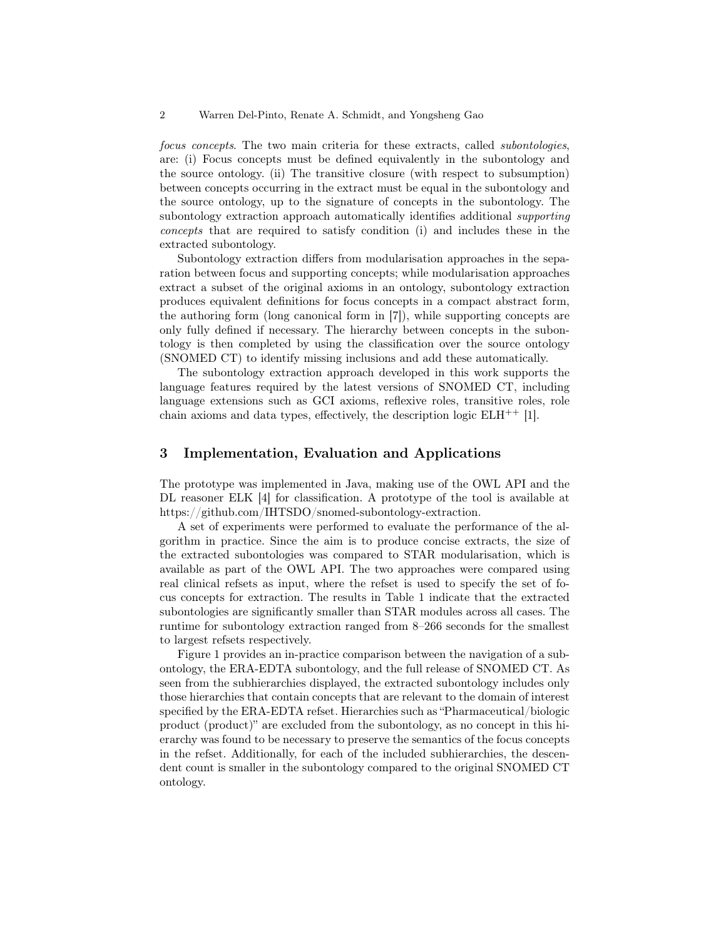focus concepts. The two main criteria for these extracts, called *subontologies*, are: (i) Focus concepts must be defined equivalently in the subontology and the source ontology. (ii) The transitive closure (with respect to subsumption) between concepts occurring in the extract must be equal in the subontology and the source ontology, up to the signature of concepts in the subontology. The subontology extraction approach automatically identifies additional supporting concepts that are required to satisfy condition (i) and includes these in the extracted subontology.

Subontology extraction differs from modularisation approaches in the separation between focus and supporting concepts; while modularisation approaches extract a subset of the original axioms in an ontology, subontology extraction produces equivalent definitions for focus concepts in a compact abstract form, the authoring form (long canonical form in [7]), while supporting concepts are only fully defined if necessary. The hierarchy between concepts in the subontology is then completed by using the classification over the source ontology (SNOMED CT) to identify missing inclusions and add these automatically.

The subontology extraction approach developed in this work supports the language features required by the latest versions of SNOMED CT, including language extensions such as GCI axioms, reflexive roles, transitive roles, role chain axioms and data types, effectively, the description logic  $E L H^{++}$  [1].

#### 3 Implementation, Evaluation and Applications

The prototype was implemented in Java, making use of the OWL API and the DL reasoner ELK [4] for classification. A prototype of the tool is available at https://github.com/IHTSDO/snomed-subontology-extraction.

A set of experiments were performed to evaluate the performance of the algorithm in practice. Since the aim is to produce concise extracts, the size of the extracted subontologies was compared to STAR modularisation, which is available as part of the OWL API. The two approaches were compared using real clinical refsets as input, where the refset is used to specify the set of focus concepts for extraction. The results in Table 1 indicate that the extracted subontologies are significantly smaller than STAR modules across all cases. The runtime for subontology extraction ranged from 8–266 seconds for the smallest to largest refsets respectively.

Figure 1 provides an in-practice comparison between the navigation of a subontology, the ERA-EDTA subontology, and the full release of SNOMED CT. As seen from the subhierarchies displayed, the extracted subontology includes only those hierarchies that contain concepts that are relevant to the domain of interest specified by the ERA-EDTA refset. Hierarchies such as "Pharmaceutical/biologic product (product)" are excluded from the subontology, as no concept in this hierarchy was found to be necessary to preserve the semantics of the focus concepts in the refset. Additionally, for each of the included subhierarchies, the descendent count is smaller in the subontology compared to the original SNOMED CT ontology.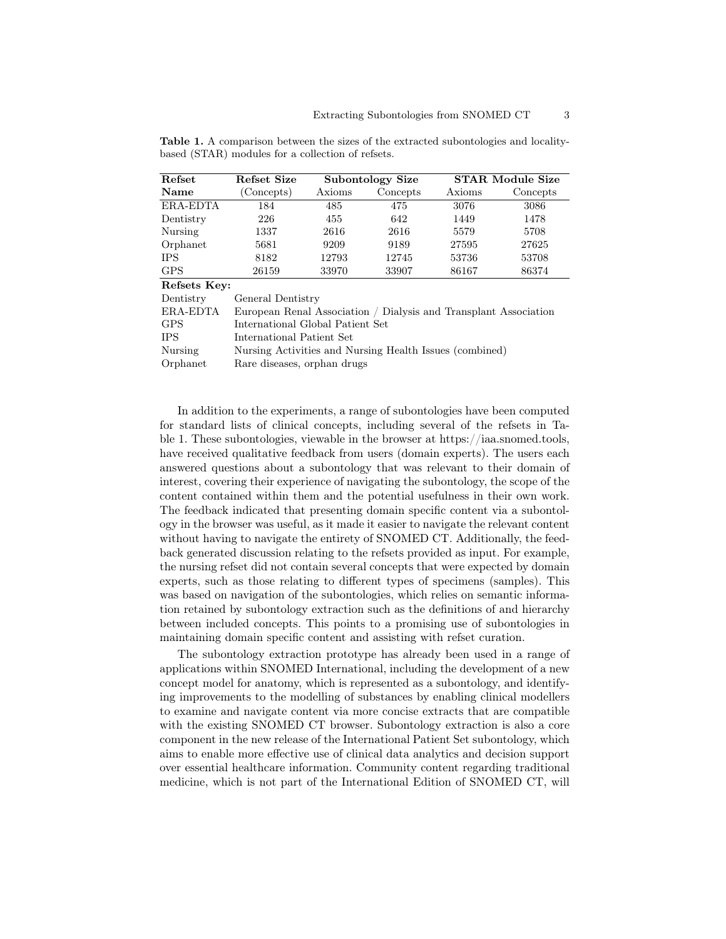| Refset     | Refset Size | Subontology Size |          | <b>STAR Module Size</b> |          |
|------------|-------------|------------------|----------|-------------------------|----------|
| Name       | (Concepts)  | Axioms           | Concepts | Axioms                  | Concepts |
| ERA-EDTA   | 184         | 485              | 475      | 3076                    | 3086     |
| Dentistry  | 226         | 455              | 642      | 1449                    | 1478     |
| Nursing    | 1337        | 2616             | 2616     | 5579                    | 5708     |
| Orphanet   | 5681        | 9209             | 9189     | 27595                   | 27625    |
| <b>IPS</b> | 8182        | 12793            | 12745    | 53736                   | 53708    |
| <b>GPS</b> | 26159       | 33970            | 33907    | 86167                   | 86374    |

Table 1. A comparison between the sizes of the extracted subontologies and localitybased (STAR) modules for a collection of refsets.

Refsets Key:

| $D$ entistry<br>General Dentistry                                            |  |
|------------------------------------------------------------------------------|--|
| ERA-EDTA<br>European Renal Association / Dialysis and Transplant Association |  |
| GPS<br>International Global Patient Set                                      |  |
| IPS.<br>International Patient Set                                            |  |
| Nursing Activities and Nursing Health Issues (combined)<br>Nursing           |  |
| Orphanet<br>Rare diseases, orphan drugs                                      |  |

In addition to the experiments, a range of subontologies have been computed for standard lists of clinical concepts, including several of the refsets in Table 1. These subontologies, viewable in the browser at https://iaa.snomed.tools, have received qualitative feedback from users (domain experts). The users each answered questions about a subontology that was relevant to their domain of interest, covering their experience of navigating the subontology, the scope of the content contained within them and the potential usefulness in their own work. The feedback indicated that presenting domain specific content via a subontology in the browser was useful, as it made it easier to navigate the relevant content without having to navigate the entirety of SNOMED CT. Additionally, the feedback generated discussion relating to the refsets provided as input. For example, the nursing refset did not contain several concepts that were expected by domain experts, such as those relating to different types of specimens (samples). This was based on navigation of the subontologies, which relies on semantic information retained by subontology extraction such as the definitions of and hierarchy between included concepts. This points to a promising use of subontologies in maintaining domain specific content and assisting with refset curation.

The subontology extraction prototype has already been used in a range of applications within SNOMED International, including the development of a new concept model for anatomy, which is represented as a subontology, and identifying improvements to the modelling of substances by enabling clinical modellers to examine and navigate content via more concise extracts that are compatible with the existing SNOMED CT browser. Subontology extraction is also a core component in the new release of the International Patient Set subontology, which aims to enable more effective use of clinical data analytics and decision support over essential healthcare information. Community content regarding traditional medicine, which is not part of the International Edition of SNOMED CT, will